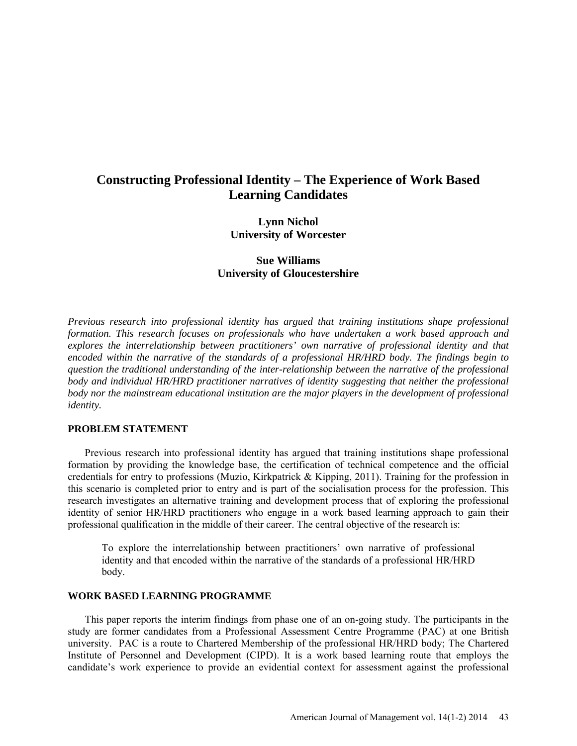# **Constructing Professional Identity – The Experience of Work Based Learning Candidates**

**Lynn Nichol University of Worcester**

**Sue Williams University of Gloucestershire**

*Previous research into professional identity has argued that training institutions shape professional formation. This research focuses on professionals who have undertaken a work based approach and explores the interrelationship between practitioners' own narrative of professional identity and that encoded within the narrative of the standards of a professional HR/HRD body. The findings begin to question the traditional understanding of the inter-relationship between the narrative of the professional body and individual HR/HRD practitioner narratives of identity suggesting that neither the professional body nor the mainstream educational institution are the major players in the development of professional identity.*

#### **PROBLEM STATEMENT**

Previous research into professional identity has argued that training institutions shape professional formation by providing the knowledge base, the certification of technical competence and the official credentials for entry to professions (Muzio, Kirkpatrick & Kipping, 2011). Training for the profession in this scenario is completed prior to entry and is part of the socialisation process for the profession. This research investigates an alternative training and development process that of exploring the professional identity of senior HR/HRD practitioners who engage in a work based learning approach to gain their professional qualification in the middle of their career. The central objective of the research is:

To explore the interrelationship between practitioners' own narrative of professional identity and that encoded within the narrative of the standards of a professional HR/HRD body.

# **WORK BASED LEARNING PROGRAMME**

This paper reports the interim findings from phase one of an on-going study. The participants in the study are former candidates from a Professional Assessment Centre Programme (PAC) at one British university. PAC is a route to Chartered Membership of the professional HR/HRD body; The Chartered Institute of Personnel and Development (CIPD). It is a work based learning route that employs the candidate's work experience to provide an evidential context for assessment against the professional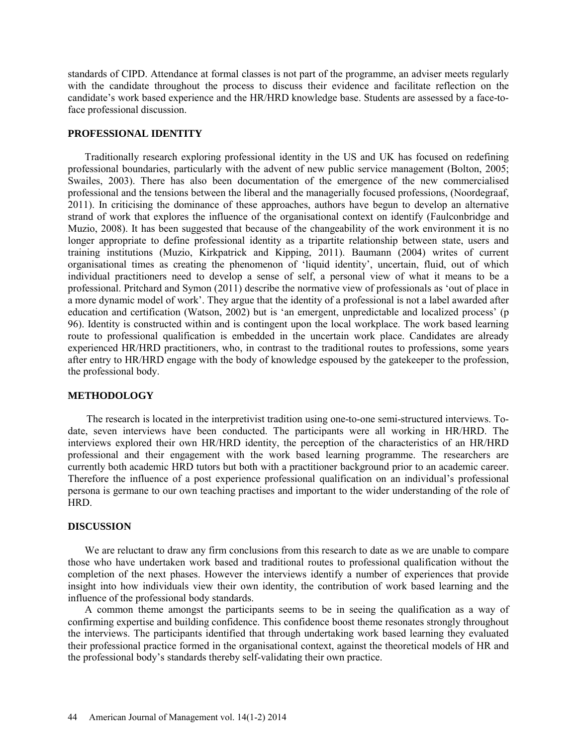standards of CIPD. Attendance at formal classes is not part of the programme, an adviser meets regularly with the candidate throughout the process to discuss their evidence and facilitate reflection on the candidate's work based experience and the HR/HRD knowledge base. Students are assessed by a face-toface professional discussion.

#### **PROFESSIONAL IDENTITY**

Traditionally research exploring professional identity in the US and UK has focused on redefining professional boundaries, particularly with the advent of new public service management (Bolton, 2005; Swailes, 2003). There has also been documentation of the emergence of the new commercialised professional and the tensions between the liberal and the managerially focused professions, (Noordegraaf, 2011). In criticising the dominance of these approaches, authors have begun to develop an alternative strand of work that explores the influence of the organisational context on identify (Faulconbridge and Muzio, 2008). It has been suggested that because of the changeability of the work environment it is no longer appropriate to define professional identity as a tripartite relationship between state, users and training institutions (Muzio, Kirkpatrick and Kipping, 2011). Baumann (2004) writes of current organisational times as creating the phenomenon of 'liquid identity', uncertain, fluid, out of which individual practitioners need to develop a sense of self, a personal view of what it means to be a professional. Pritchard and Symon (2011) describe the normative view of professionals as 'out of place in a more dynamic model of work'. They argue that the identity of a professional is not a label awarded after education and certification (Watson, 2002) but is 'an emergent, unpredictable and localized process' (p 96). Identity is constructed within and is contingent upon the local workplace. The work based learning route to professional qualification is embedded in the uncertain work place. Candidates are already experienced HR/HRD practitioners, who, in contrast to the traditional routes to professions, some years after entry to HR/HRD engage with the body of knowledge espoused by the gatekeeper to the profession, the professional body.

# **METHODOLOGY**

The research is located in the interpretivist tradition using one-to-one semi-structured interviews. Todate, seven interviews have been conducted. The participants were all working in HR/HRD. The interviews explored their own HR/HRD identity, the perception of the characteristics of an HR/HRD professional and their engagement with the work based learning programme. The researchers are currently both academic HRD tutors but both with a practitioner background prior to an academic career. Therefore the influence of a post experience professional qualification on an individual's professional persona is germane to our own teaching practises and important to the wider understanding of the role of HRD.

# **DISCUSSION**

We are reluctant to draw any firm conclusions from this research to date as we are unable to compare those who have undertaken work based and traditional routes to professional qualification without the completion of the next phases. However the interviews identify a number of experiences that provide insight into how individuals view their own identity, the contribution of work based learning and the influence of the professional body standards.

A common theme amongst the participants seems to be in seeing the qualification as a way of confirming expertise and building confidence. This confidence boost theme resonates strongly throughout the interviews. The participants identified that through undertaking work based learning they evaluated their professional practice formed in the organisational context, against the theoretical models of HR and the professional body's standards thereby self-validating their own practice.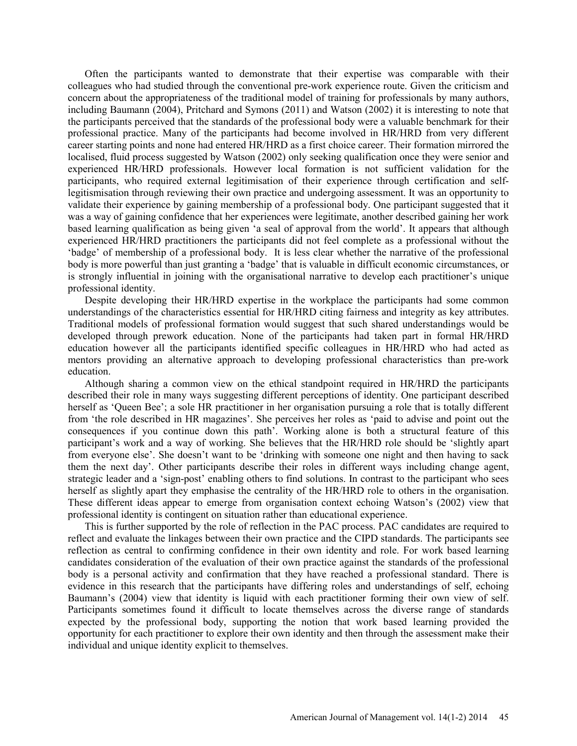Often the participants wanted to demonstrate that their expertise was comparable with their colleagues who had studied through the conventional pre-work experience route. Given the criticism and concern about the appropriateness of the traditional model of training for professionals by many authors, including Baumann (2004), Pritchard and Symons (2011) and Watson (2002) it is interesting to note that the participants perceived that the standards of the professional body were a valuable benchmark for their professional practice. Many of the participants had become involved in HR/HRD from very different career starting points and none had entered HR/HRD as a first choice career. Their formation mirrored the localised, fluid process suggested by Watson (2002) only seeking qualification once they were senior and experienced HR/HRD professionals. However local formation is not sufficient validation for the participants, who required external legitimisation of their experience through certification and selflegitismisation through reviewing their own practice and undergoing assessment. It was an opportunity to validate their experience by gaining membership of a professional body. One participant suggested that it was a way of gaining confidence that her experiences were legitimate, another described gaining her work based learning qualification as being given 'a seal of approval from the world'. It appears that although experienced HR/HRD practitioners the participants did not feel complete as a professional without the 'badge' of membership of a professional body. It is less clear whether the narrative of the professional body is more powerful than just granting a 'badge' that is valuable in difficult economic circumstances, or is strongly influential in joining with the organisational narrative to develop each practitioner's unique professional identity.

Despite developing their HR/HRD expertise in the workplace the participants had some common understandings of the characteristics essential for HR/HRD citing fairness and integrity as key attributes. Traditional models of professional formation would suggest that such shared understandings would be developed through prework education. None of the participants had taken part in formal HR/HRD education however all the participants identified specific colleagues in HR/HRD who had acted as mentors providing an alternative approach to developing professional characteristics than pre-work education.

Although sharing a common view on the ethical standpoint required in HR/HRD the participants described their role in many ways suggesting different perceptions of identity. One participant described herself as 'Queen Bee'; a sole HR practitioner in her organisation pursuing a role that is totally different from 'the role described in HR magazines'. She perceives her roles as 'paid to advise and point out the consequences if you continue down this path'. Working alone is both a structural feature of this participant's work and a way of working. She believes that the HR/HRD role should be 'slightly apart from everyone else'. She doesn't want to be 'drinking with someone one night and then having to sack them the next day'. Other participants describe their roles in different ways including change agent, strategic leader and a 'sign-post' enabling others to find solutions. In contrast to the participant who sees herself as slightly apart they emphasise the centrality of the HR/HRD role to others in the organisation. These different ideas appear to emerge from organisation context echoing Watson's (2002) view that professional identity is contingent on situation rather than educational experience.

This is further supported by the role of reflection in the PAC process. PAC candidates are required to reflect and evaluate the linkages between their own practice and the CIPD standards. The participants see reflection as central to confirming confidence in their own identity and role. For work based learning candidates consideration of the evaluation of their own practice against the standards of the professional body is a personal activity and confirmation that they have reached a professional standard. There is evidence in this research that the participants have differing roles and understandings of self, echoing Baumann's (2004) view that identity is liquid with each practitioner forming their own view of self. Participants sometimes found it difficult to locate themselves across the diverse range of standards expected by the professional body, supporting the notion that work based learning provided the opportunity for each practitioner to explore their own identity and then through the assessment make their individual and unique identity explicit to themselves.